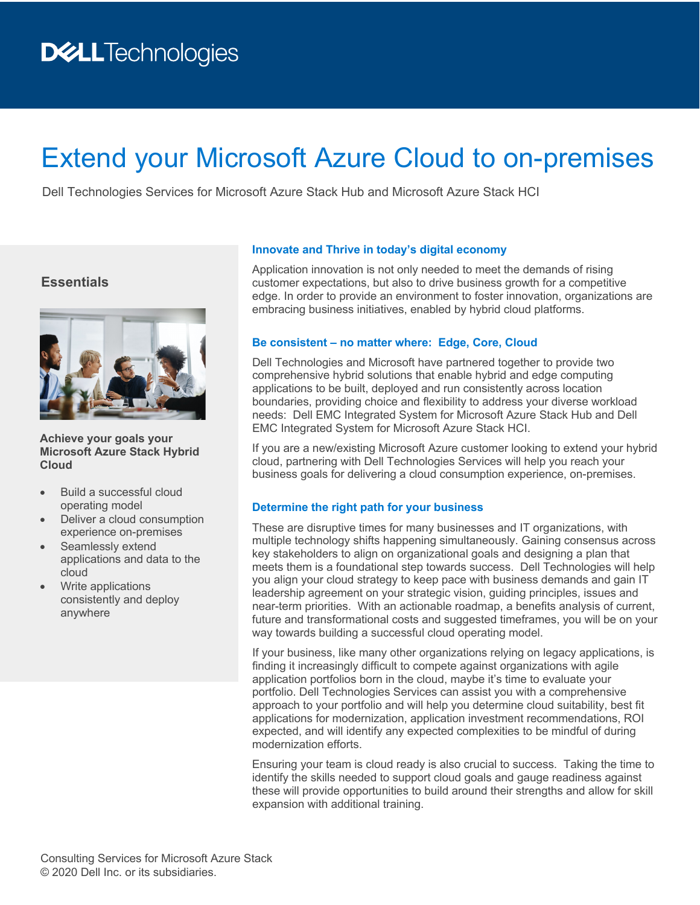# Extend your Microsoft Azure Cloud to on-premises

Dell Technologies Services for Microsoft Azure Stack Hub and Microsoft Azure Stack HCI

## **Essentials**



**Achieve your goals your Microsoft Azure Stack Hybrid Cloud**

- Build a successful cloud operating model
- Deliver a cloud consumption experience on-premises
- Seamlessly extend applications and data to the cloud
- Write applications consistently and deploy anywhere

#### **Innovate and Thrive in today's digital economy**

Application innovation is not only needed to meet the demands of rising customer expectations, but also to drive business growth for a competitive edge. In order to provide an environment to foster innovation, organizations are embracing business initiatives, enabled by hybrid cloud platforms.

### **Be consistent – no matter where: Edge, Core, Cloud**

Dell Technologies and Microsoft have partnered together to provide two comprehensive hybrid solutions that enable hybrid and edge computing applications to be built, deployed and run consistently across location boundaries, providing choice and flexibility to address your diverse workload needs: Dell EMC Integrated System for Microsoft Azure Stack Hub and Dell EMC Integrated System for Microsoft Azure Stack HCI.

If you are a new/existing Microsoft Azure customer looking to extend your hybrid cloud, partnering with Dell Technologies Services will help you reach your business goals for delivering a cloud consumption experience, on-premises.

#### **Determine the right path for your business**

These are disruptive times for many businesses and IT organizations, with multiple technology shifts happening simultaneously. Gaining consensus across key stakeholders to align on organizational goals and designing a plan that meets them is a foundational step towards success. Dell Technologies will help you align your cloud strategy to keep pace with business demands and gain IT leadership agreement on your strategic vision, guiding principles, issues and near-term priorities. With an actionable roadmap, a benefits analysis of current, future and transformational costs and suggested timeframes, you will be on your way towards building a successful cloud operating model.

If your business, like many other organizations relying on legacy applications, is finding it increasingly difficult to compete against organizations with agile application portfolios born in the cloud, maybe it's time to evaluate your portfolio. Dell Technologies Services can assist you with a comprehensive approach to your portfolio and will help you determine cloud suitability, best fit applications for modernization, application investment recommendations, ROI expected, and will identify any expected complexities to be mindful of during modernization efforts.

Ensuring your team is cloud ready is also crucial to success. Taking the time to identify the skills needed to support cloud goals and gauge readiness against these will provide opportunities to build around their strengths and allow for skill expansion with additional training.